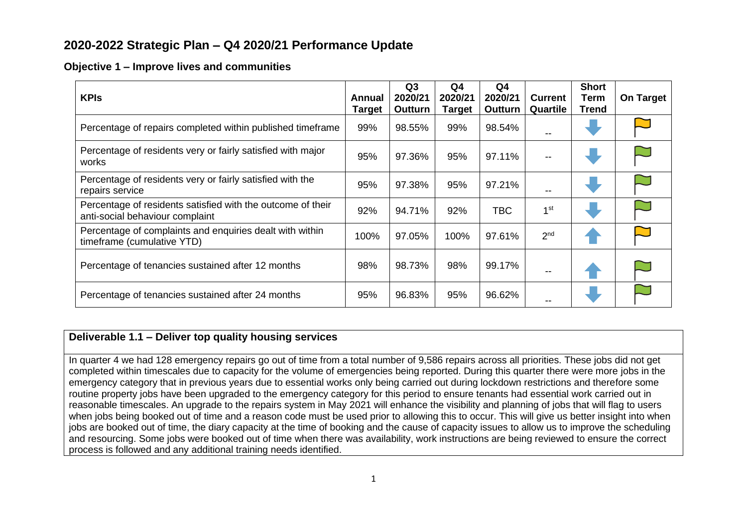# **2020-2022 Strategic Plan – Q4 2020/21 Performance Update**

#### **Objective 1 – Improve lives and communities**

| <b>KPIS</b><br><b>Annual</b>                                                                   |  | Q3<br>2020/21<br>Outturn | Q4<br>2020/21<br><b>Target</b> | Q4<br>2020/21<br>Outturn | <b>Current</b><br>Quartile | <b>Short</b><br>Term<br>Trend | <b>On Target</b> |
|------------------------------------------------------------------------------------------------|--|--------------------------|--------------------------------|--------------------------|----------------------------|-------------------------------|------------------|
| Percentage of repairs completed within published timeframe                                     |  | 98.55%                   | 99%                            | 98.54%                   |                            |                               |                  |
| Percentage of residents very or fairly satisfied with major<br>works                           |  | 97.36%                   | 95%                            | 97.11%                   | --                         |                               |                  |
| Percentage of residents very or fairly satisfied with the<br>repairs service                   |  | 97.38%                   | 95%                            | 97.21%                   | --                         |                               |                  |
| Percentage of residents satisfied with the outcome of their<br>anti-social behaviour complaint |  | 94.71%                   | 92%                            | TBC                      | 1 <sup>st</sup>            |                               |                  |
| Percentage of complaints and enquiries dealt with within<br>timeframe (cumulative YTD)         |  | 97.05%                   | 100%                           | 97.61%                   | 2 <sup>nd</sup>            |                               |                  |
| Percentage of tenancies sustained after 12 months                                              |  | 98.73%                   | 98%                            | 99.17%                   | --                         |                               |                  |
| Percentage of tenancies sustained after 24 months                                              |  | 96.83%                   | 95%                            | 96.62%                   |                            |                               |                  |

## **Deliverable 1.1 – Deliver top quality housing services**

In quarter 4 we had 128 emergency repairs go out of time from a total number of 9,586 repairs across all priorities. These jobs did not get completed within timescales due to capacity for the volume of emergencies being reported. During this quarter there were more jobs in the emergency category that in previous years due to essential works only being carried out during lockdown restrictions and therefore some routine property jobs have been upgraded to the emergency category for this period to ensure tenants had essential work carried out in reasonable timescales. An upgrade to the repairs system in May 2021 will enhance the visibility and planning of jobs that will flag to users when jobs being booked out of time and a reason code must be used prior to allowing this to occur. This will give us better insight into when jobs are booked out of time, the diary capacity at the time of booking and the cause of capacity issues to allow us to improve the scheduling and resourcing. Some jobs were booked out of time when there was availability, work instructions are being reviewed to ensure the correct process is followed and any additional training needs identified.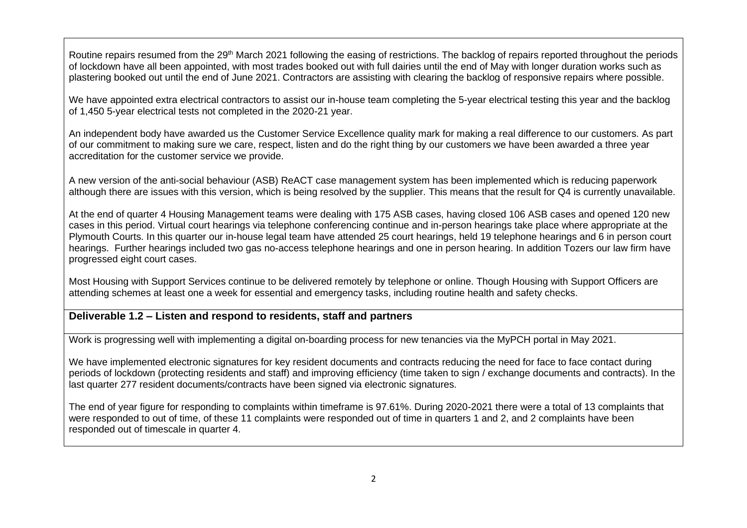Routine repairs resumed from the 29<sup>th</sup> March 2021 following the easing of restrictions. The backlog of repairs reported throughout the periods of lockdown have all been appointed, with most trades booked out with full dairies until the end of May with longer duration works such as plastering booked out until the end of June 2021. Contractors are assisting with clearing the backlog of responsive repairs where possible.

We have appointed extra electrical contractors to assist our in-house team completing the 5-year electrical testing this year and the backlog of 1,450 5-year electrical tests not completed in the 2020-21 year.

An independent body have awarded us the Customer Service Excellence quality mark for making a real difference to our customers. As part of our commitment to making sure we care, respect, listen and do the right thing by our customers we have been awarded a three year accreditation for the customer service we provide.

A new version of the anti-social behaviour (ASB) ReACT case management system has been implemented which is reducing paperwork although there are issues with this version, which is being resolved by the supplier. This means that the result for Q4 is currently unavailable.

At the end of quarter 4 Housing Management teams were dealing with 175 ASB cases, having closed 106 ASB cases and opened 120 new cases in this period. Virtual court hearings via telephone conferencing continue and in-person hearings take place where appropriate at the Plymouth Courts. In this quarter our in-house legal team have attended 25 court hearings, held 19 telephone hearings and 6 in person court hearings. Further hearings included two gas no-access telephone hearings and one in person hearing. In addition Tozers our law firm have progressed eight court cases.

Most Housing with Support Services continue to be delivered remotely by telephone or online. Though Housing with Support Officers are attending schemes at least one a week for essential and emergency tasks, including routine health and safety checks.

### **Deliverable 1.2 – Listen and respond to residents, staff and partners**

Work is progressing well with implementing a digital on-boarding process for new tenancies via the MyPCH portal in May 2021.

We have implemented electronic signatures for key resident documents and contracts reducing the need for face to face contact during periods of lockdown (protecting residents and staff) and improving efficiency (time taken to sign / exchange documents and contracts). In the last quarter 277 resident documents/contracts have been signed via electronic signatures.

The end of year figure for responding to complaints within timeframe is 97.61%. During 2020-2021 there were a total of 13 complaints that were responded to out of time, of these 11 complaints were responded out of time in quarters 1 and 2, and 2 complaints have been responded out of timescale in quarter 4.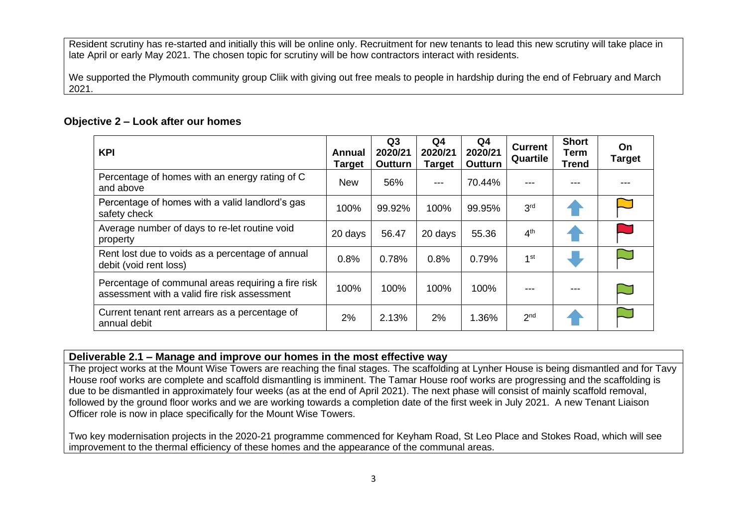Resident scrutiny has re-started and initially this will be online only. Recruitment for new tenants to lead this new scrutiny will take place in late April or early May 2021. The chosen topic for scrutiny will be how contractors interact with residents.

We supported the Plymouth community group Cliik with giving out free meals to people in hardship during the end of February and March 2021.

#### **Objective 2 – Look after our homes**

| <b>KPI</b>                                                                                         | Annual<br><b>Target</b> | Q <sub>3</sub><br>2020/21<br>Outturn | Q <sub>4</sub><br>2020/21<br><b>Target</b> | Q <sub>4</sub><br>2020/21<br><b>Outturn</b> | <b>Current</b><br>Quartile | <b>Short</b><br>Term<br><b>Trend</b> | On.<br><b>Target</b> |
|----------------------------------------------------------------------------------------------------|-------------------------|--------------------------------------|--------------------------------------------|---------------------------------------------|----------------------------|--------------------------------------|----------------------|
| Percentage of homes with an energy rating of C<br>and above                                        |                         | 56%                                  | ---                                        | 70.44%                                      | ---                        |                                      |                      |
| Percentage of homes with a valid landlord's gas<br>safety check                                    |                         | 99.92%                               | 100%                                       | 99.95%                                      | 3 <sup>rd</sup>            |                                      |                      |
| Average number of days to re-let routine void<br>property                                          | 20 days                 | 56.47                                | 20 days                                    | 55.36                                       | 4 <sup>th</sup>            |                                      |                      |
| Rent lost due to voids as a percentage of annual<br>debit (void rent loss)                         | 0.8%                    | 0.78%                                | 0.8%                                       | 0.79%                                       | 1 <sup>st</sup>            |                                      |                      |
| Percentage of communal areas requiring a fire risk<br>assessment with a valid fire risk assessment | 100%                    | 100%                                 | 100%                                       | 100%                                        |                            |                                      |                      |
| Current tenant rent arrears as a percentage of<br>annual debit                                     | 2%                      | 2.13%                                | 2%                                         | 1.36%                                       | 2 <sub>nd</sub>            |                                      |                      |

#### **Deliverable 2.1 – Manage and improve our homes in the most effective way**

The project works at the Mount Wise Towers are reaching the final stages. The scaffolding at Lynher House is being dismantled and for Tavy House roof works are complete and scaffold dismantling is imminent. The Tamar House roof works are progressing and the scaffolding is due to be dismantled in approximately four weeks (as at the end of April 2021). The next phase will consist of mainly scaffold removal, followed by the ground floor works and we are working towards a completion date of the first week in July 2021. A new Tenant Liaison Officer role is now in place specifically for the Mount Wise Towers.

Two key modernisation projects in the 2020-21 programme commenced for Keyham Road, St Leo Place and Stokes Road, which will see improvement to the thermal efficiency of these homes and the appearance of the communal areas.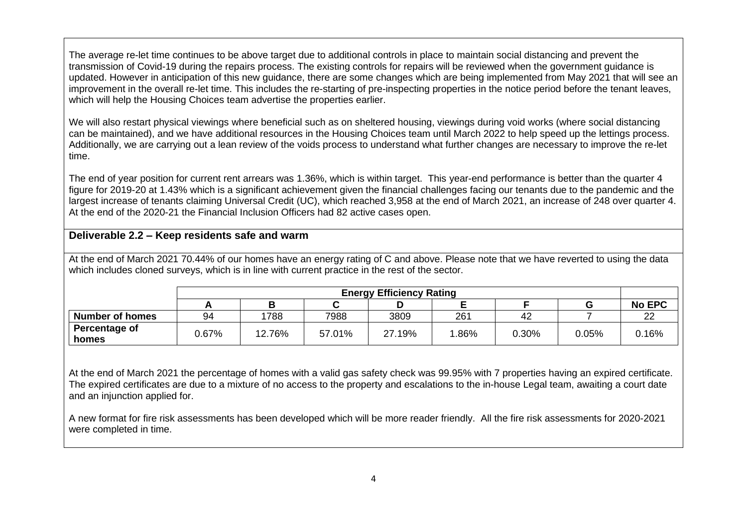The average re-let time continues to be above target due to additional controls in place to maintain social distancing and prevent the transmission of Covid-19 during the repairs process. The existing controls for repairs will be reviewed when the government guidance is updated. However in anticipation of this new guidance, there are some changes which are being implemented from May 2021 that will see an improvement in the overall re-let time. This includes the re-starting of pre-inspecting properties in the notice period before the tenant leaves, which will help the Housing Choices team advertise the properties earlier.

We will also restart physical viewings where beneficial such as on sheltered housing, viewings during void works (where social distancing can be maintained), and we have additional resources in the Housing Choices team until March 2022 to help speed up the lettings process. Additionally, we are carrying out a lean review of the voids process to understand what further changes are necessary to improve the re-let time.

The end of year position for current rent arrears was 1.36%, which is within target. This year-end performance is better than the quarter 4 figure for 2019-20 at 1.43% which is a significant achievement given the financial challenges facing our tenants due to the pandemic and the largest increase of tenants claiming Universal Credit (UC), which reached 3,958 at the end of March 2021, an increase of 248 over quarter 4. At the end of the 2020-21 the Financial Inclusion Officers had 82 active cases open.

### **Deliverable 2.2 – Keep residents safe and warm**

At the end of March 2021 70.44% of our homes have an energy rating of C and above. Please note that we have reverted to using the data which includes cloned surveys, which is in line with current practice in the rest of the sector.

|                        | <b>Energy Efficiency Rating</b> |        |        |        |      |       |       |               |
|------------------------|---------------------------------|--------|--------|--------|------|-------|-------|---------------|
|                        |                                 |        |        |        |      |       |       | <b>No EPC</b> |
| <b>Number of homes</b> | 94                              | 1788   | 7988   | 3809   | 261  | 42    |       | ∸             |
| Percentage of<br>homes | 0.67%                           | 12.76% | 57.01% | 27.19% | .86% | 0.30% | 0.05% | 0.16%         |

At the end of March 2021 the percentage of homes with a valid gas safety check was 99.95% with 7 properties having an expired certificate. The expired certificates are due to a mixture of no access to the property and escalations to the in-house Legal team, awaiting a court date and an injunction applied for.

A new format for fire risk assessments has been developed which will be more reader friendly. All the fire risk assessments for 2020-2021 were completed in time.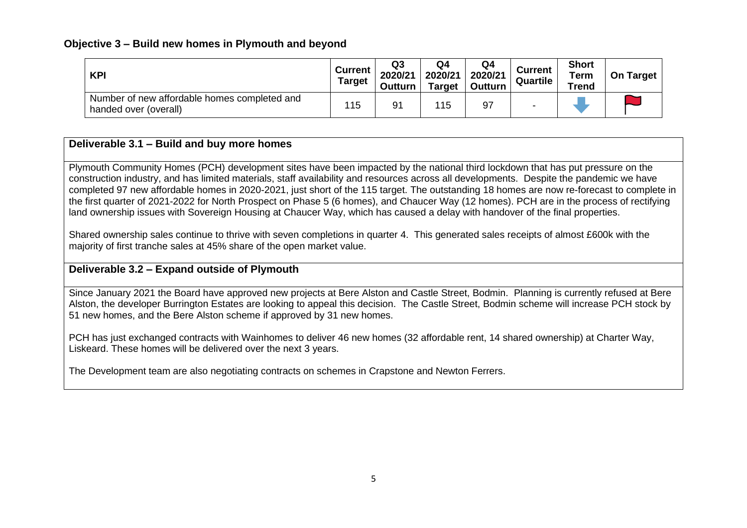#### **Objective 3 – Build new homes in Plymouth and beyond**

| <b>KPI</b>                                                            | <b>Current</b><br><b>Target</b> | Q <sub>3</sub><br>2020/21<br>Outturn | Q4<br>2020/21<br><b>Target</b> | Q4<br>2020/21<br>Outturn | <b>Current</b><br>Quartile | <b>Short</b><br>Term<br><b>Trend</b> | On Target |
|-----------------------------------------------------------------------|---------------------------------|--------------------------------------|--------------------------------|--------------------------|----------------------------|--------------------------------------|-----------|
| Number of new affordable homes completed and<br>handed over (overall) | 115                             | 91                                   | 115                            | 97                       |                            |                                      |           |

## **Deliverable 3.1 – Build and buy more homes**

Plymouth Community Homes (PCH) development sites have been impacted by the national third lockdown that has put pressure on the construction industry, and has limited materials, staff availability and resources across all developments. Despite the pandemic we have completed 97 new affordable homes in 2020-2021, just short of the 115 target. The outstanding 18 homes are now re-forecast to complete in the first quarter of 2021-2022 for North Prospect on Phase 5 (6 homes), and Chaucer Way (12 homes). PCH are in the process of rectifying land ownership issues with Sovereign Housing at Chaucer Way, which has caused a delay with handover of the final properties.

Shared ownership sales continue to thrive with seven completions in quarter 4. This generated sales receipts of almost £600k with the majority of first tranche sales at 45% share of the open market value.

## **Deliverable 3.2 – Expand outside of Plymouth**

Since January 2021 the Board have approved new projects at Bere Alston and Castle Street, Bodmin. Planning is currently refused at Bere Alston, the developer Burrington Estates are looking to appeal this decision. The Castle Street, Bodmin scheme will increase PCH stock by 51 new homes, and the Bere Alston scheme if approved by 31 new homes.

PCH has just exchanged contracts with Wainhomes to deliver 46 new homes (32 affordable rent, 14 shared ownership) at Charter Way, Liskeard. These homes will be delivered over the next 3 years.

The Development team are also negotiating contracts on schemes in Crapstone and Newton Ferrers.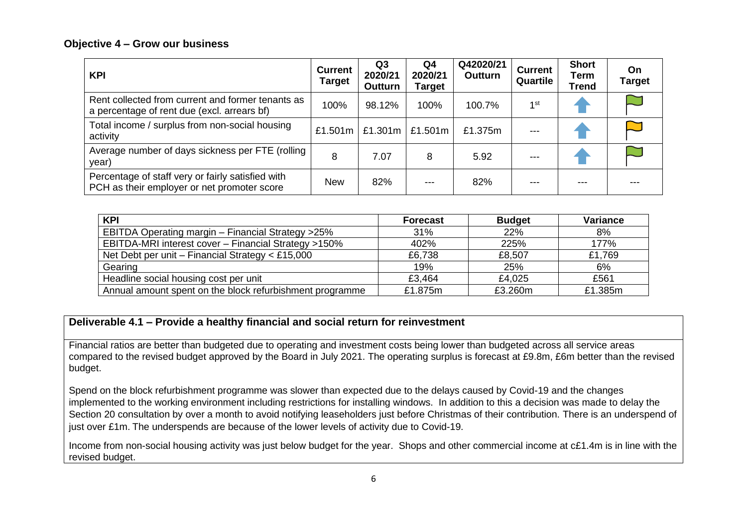#### **Objective 4 – Grow our business**

| <b>KPI</b>                                                                                       | <b>Current</b><br><b>Target</b> | Q <sub>3</sub><br>2020/21<br>Outturn | Q4<br>2020/21<br>Target | Q42020/21<br><b>Outturn</b> | <b>Current</b><br>Quartile | <b>Short</b><br>Term<br>Trend | On<br><b>Target</b> |
|--------------------------------------------------------------------------------------------------|---------------------------------|--------------------------------------|-------------------------|-----------------------------|----------------------------|-------------------------------|---------------------|
| Rent collected from current and former tenants as<br>a percentage of rent due (excl. arrears bf) | 100%                            | 98.12%                               | 100%                    | 100.7%                      | 1 <sup>st</sup>            |                               |                     |
| Total income / surplus from non-social housing<br>activity                                       | £1.501m                         | £1.301 $m$                           | £1.501m                 | £1.375m                     |                            |                               |                     |
| Average number of days sickness per FTE (rolling  <br>year)                                      | 8                               | 7.07                                 | 8                       | 5.92                        | ---                        |                               |                     |
| Percentage of staff very or fairly satisfied with<br>PCH as their employer or net promoter score | <b>New</b>                      | 82%                                  | $---$                   | 82%                         | ---                        | ---                           |                     |

| <b>KPI</b>                                               | <b>Forecast</b> | <b>Budget</b> | <b>Variance</b> |
|----------------------------------------------------------|-----------------|---------------|-----------------|
| EBITDA Operating margin - Financial Strategy >25%        | 31%             | 22%           | 8%              |
| EBITDA-MRI interest cover - Financial Strategy >150%     | 402%            | 225%          | 177%            |
| Net Debt per unit - Financial Strategy $<$ £15,000       | £6,738          | £8,507        | £1,769          |
| Gearing                                                  | 19%             | 25%           | 6%              |
| Headline social housing cost per unit                    | £3,464          | £4,025        | £561            |
| Annual amount spent on the block refurbishment programme | £1.875m         | £3.260m       | £1.385m         |

## **Deliverable 4.1 – Provide a healthy financial and social return for reinvestment**

Financial ratios are better than budgeted due to operating and investment costs being lower than budgeted across all service areas compared to the revised budget approved by the Board in July 2021. The operating surplus is forecast at £9.8m, £6m better than the revised budget.

Spend on the block refurbishment programme was slower than expected due to the delays caused by Covid-19 and the changes implemented to the working environment including restrictions for installing windows. In addition to this a decision was made to delay the Section 20 consultation by over a month to avoid notifying leaseholders just before Christmas of their contribution. There is an underspend of just over £1m. The underspends are because of the lower levels of activity due to Covid-19.

Income from non-social housing activity was just below budget for the year. Shops and other commercial income at c£1.4m is in line with the revised budget.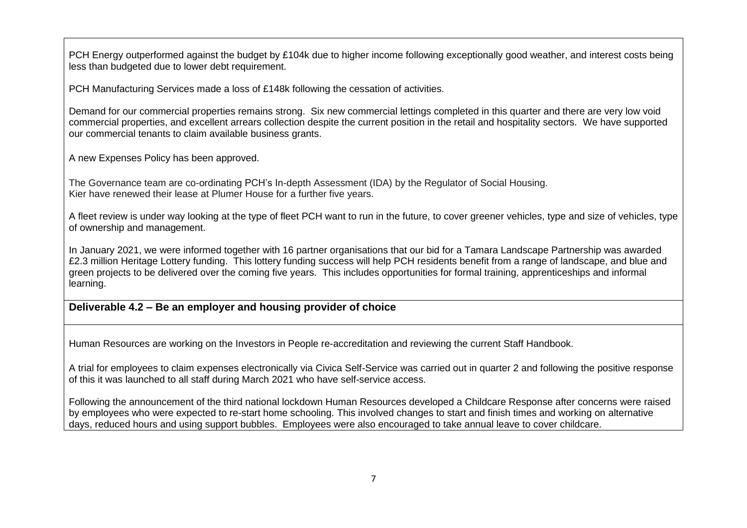PCH Energy outperformed against the budget by £104k due to higher income following exceptionally good weather, and interest costs being less than budgeted due to lower debt requirement.

PCH Manufacturing Services made a loss of £148k following the cessation of activities.

Demand for our commercial properties remains strong. Six new commercial lettings completed in this quarter and there are very low void commercial properties, and excellent arrears collection despite the current position in the retail and hospitality sectors. We have supported our commercial tenants to claim available business grants.

A new Expenses Policy has been approved.

The Governance team are co-ordinating PCH's In-depth Assessment (IDA) by the Regulator of Social Housing. Kier have renewed their lease at Plumer House for a further five years.

A fleet review is under way looking at the type of fleet PCH want to run in the future, to cover greener vehicles, type and size of vehicles, type of ownership and management.

In January 2021, we were informed together with 16 partner organisations that our bid for a Tamara Landscape Partnership was awarded £2.3 million Heritage Lottery funding. This lottery funding success will help PCH residents benefit from a range of landscape, and blue and green projects to be delivered over the coming five years. This includes opportunities for formal training, apprenticeships and informal learning.

#### **Deliverable 4.2 – Be an employer and housing provider of choice**

Human Resources are working on the Investors in People re-accreditation and reviewing the current Staff Handbook.

A trial for employees to claim expenses electronically via Civica Self-Service was carried out in quarter 2 and following the positive response of this it was launched to all staff during March 2021 who have self-service access.

Following the announcement of the third national lockdown Human Resources developed a Childcare Response after concerns were raised by employees who were expected to re-start home schooling. This involved changes to start and finish times and working on alternative days, reduced hours and using support bubbles. Employees were also encouraged to take annual leave to cover childcare.